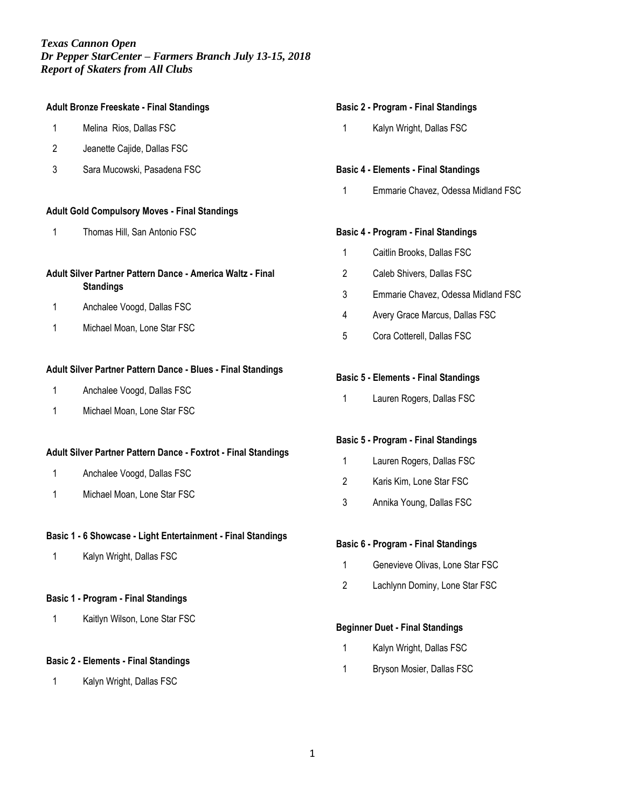## **Adult Bronze Freeskate - Final Standings**

- Melina Rios, Dallas FSC
- Jeanette Cajide, Dallas FSC
- Sara Mucowski, Pasadena FSC

#### **Adult Gold Compulsory Moves - Final Standings**

Thomas Hill, San Antonio FSC

## **Adult Silver Partner Pattern Dance - America Waltz - Final Standings**

- Anchalee Voogd, Dallas FSC
- Michael Moan, Lone Star FSC

# **Adult Silver Partner Pattern Dance - Blues - Final Standings**

- Anchalee Voogd, Dallas FSC
- Michael Moan, Lone Star FSC

#### **Adult Silver Partner Pattern Dance - Foxtrot - Final Standings**

- Anchalee Voogd, Dallas FSC
- Michael Moan, Lone Star FSC

#### **Basic 1 - 6 Showcase - Light Entertainment - Final Standings**

Kalyn Wright, Dallas FSC

#### **Basic 1 - Program - Final Standings**

Kaitlyn Wilson, Lone Star FSC

#### **Basic 2 - Elements - Final Standings**

Kalyn Wright, Dallas FSC

#### **Basic 2 - Program - Final Standings**

Kalyn Wright, Dallas FSC

#### **Basic 4 - Elements - Final Standings**

Emmarie Chavez, Odessa Midland FSC

#### **Basic 4 - Program - Final Standings**

- Caitlin Brooks, Dallas FSC
- Caleb Shivers, Dallas FSC
- Emmarie Chavez, Odessa Midland FSC
- Avery Grace Marcus, Dallas FSC
- Cora Cotterell, Dallas FSC

#### **Basic 5 - Elements - Final Standings**

Lauren Rogers, Dallas FSC

#### **Basic 5 - Program - Final Standings**

- Lauren Rogers, Dallas FSC
- Karis Kim, Lone Star FSC
- Annika Young, Dallas FSC

#### **Basic 6 - Program - Final Standings**

- Genevieve Olivas, Lone Star FSC
- Lachlynn Dominy, Lone Star FSC

#### **Beginner Duet - Final Standings**

- Kalyn Wright, Dallas FSC
- Bryson Mosier, Dallas FSC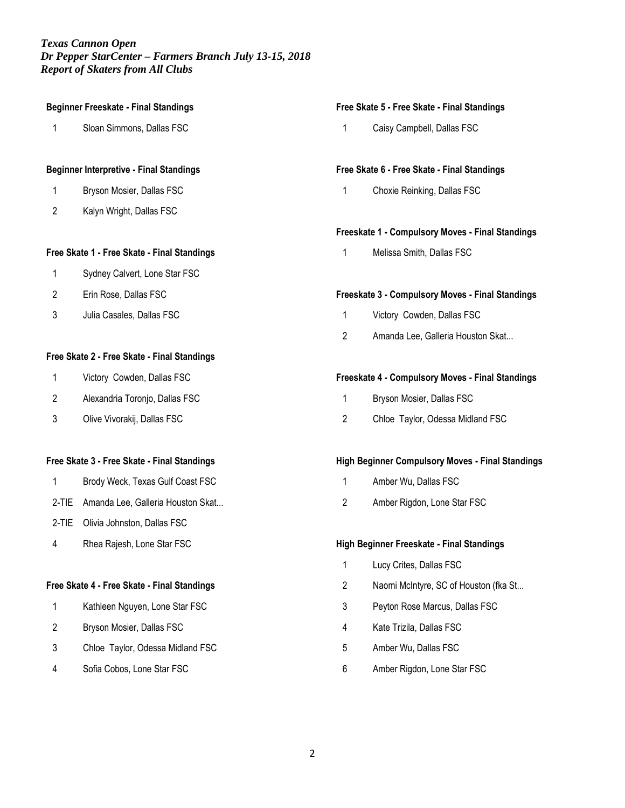# **Beginner Freeskate - Final Standings** Sloan Simmons, Dallas FSC **Beginner Interpretive - Final Standings** Bryson Mosier, Dallas FSC Kalyn Wright, Dallas FSC **Free Skate 1 - Free Skate - Final Standings** Sydney Calvert, Lone Star FSC Erin Rose, Dallas FSC Julia Casales, Dallas FSC **Free Skate 2 - Free Skate - Final Standings** Victory Cowden, Dallas FSC Alexandria Toronjo, Dallas FSC Olive Vivorakij, Dallas FSC

#### **Free Skate 3 - Free Skate - Final Standings**

- Brody Weck, Texas Gulf Coast FSC
- 2-TIE Amanda Lee, Galleria Houston Skat...
- 2-TIE Olivia Johnston, Dallas FSC
- Rhea Rajesh, Lone Star FSC

# **Free Skate 4 - Free Skate - Final Standings**

- Kathleen Nguyen, Lone Star FSC
- Bryson Mosier, Dallas FSC
- Chloe Taylor, Odessa Midland FSC
- Sofia Cobos, Lone Star FSC

#### **Free Skate 5 - Free Skate - Final Standings**

Caisy Campbell, Dallas FSC

#### **Free Skate 6 - Free Skate - Final Standings**

Choxie Reinking, Dallas FSC

## **Freeskate 1 - Compulsory Moves - Final Standings**

Melissa Smith, Dallas FSC

#### **Freeskate 3 - Compulsory Moves - Final Standings**

- Victory Cowden, Dallas FSC
- Amanda Lee, Galleria Houston Skat...

#### **Freeskate 4 - Compulsory Moves - Final Standings**

- Bryson Mosier, Dallas FSC
- Chloe Taylor, Odessa Midland FSC

#### **High Beginner Compulsory Moves - Final Standings**

- Amber Wu, Dallas FSC
- Amber Rigdon, Lone Star FSC

#### **High Beginner Freeskate - Final Standings**

- Lucy Crites, Dallas FSC
- Naomi McIntyre, SC of Houston (fka St...
- Peyton Rose Marcus, Dallas FSC
- Kate Trizila, Dallas FSC
- Amber Wu, Dallas FSC
- Amber Rigdon, Lone Star FSC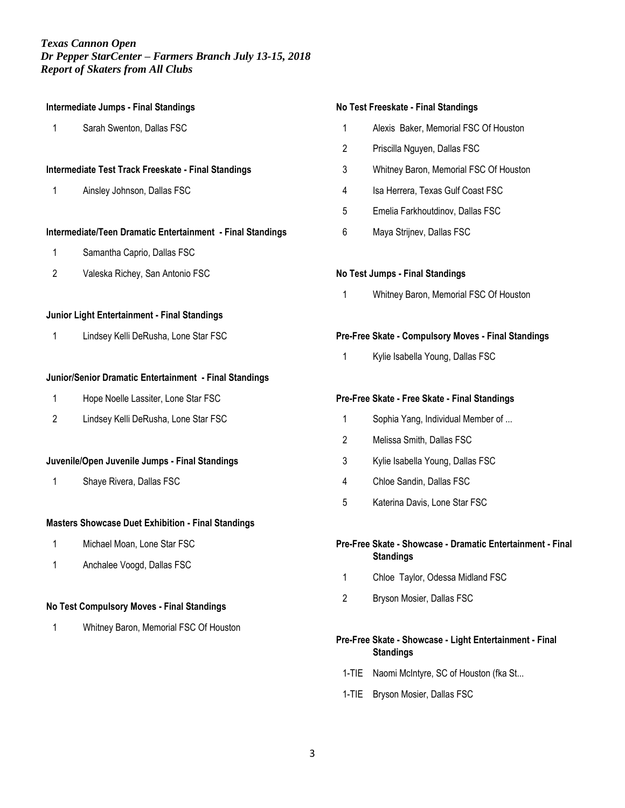| <b>Intermediate Jumps - Final Standings</b>               |                                                            |
|-----------------------------------------------------------|------------------------------------------------------------|
| 1                                                         | Sarah Swenton, Dallas FSC                                  |
|                                                           |                                                            |
| Intermediate Test Track Freeskate - Final Standings       |                                                            |
| 1                                                         | Ainsley Johnson, Dallas FSC                                |
|                                                           |                                                            |
|                                                           | Intermediate/Teen Dramatic Entertainment - Final Standings |
| 1                                                         | Samantha Caprio, Dallas FSC                                |
| 2                                                         | Valeska Richey, San Antonio FSC                            |
|                                                           |                                                            |
| Junior Light Entertainment - Final Standings              |                                                            |
| 1                                                         | Lindsey Kelli DeRusha, Lone Star FSC                       |
|                                                           |                                                            |
|                                                           | Junior/Senior Dramatic Entertainment - Final Standings     |
| 1                                                         | Hope Noelle Lassiter, Lone Star FSC                        |
| 2                                                         | Lindsey Kelli DeRusha, Lone Star FSC                       |
|                                                           |                                                            |
| Juvenile/Open Juvenile Jumps - Final Standings            |                                                            |
| 1                                                         | Shaye Rivera, Dallas FSC                                   |
|                                                           |                                                            |
| <b>Masters Showcase Duet Exhibition - Final Standings</b> |                                                            |
| 1                                                         | Michael Moan, Lone Star FSC                                |

1 Anchalee Voogd, Dallas FSC

# **No Test Compulsory Moves - Final Standings**

1 Whitney Baron, Memorial FSC Of Houston

#### **No Test Freeskate - Final Standings**

- 1 Alexis Baker, Memorial FSC Of Houston
- 2 Priscilla Nguyen, Dallas FSC
- 3 Whitney Baron, Memorial FSC Of Houston
- 4 Isa Herrera, Texas Gulf Coast FSC
- 5 Emelia Farkhoutdinov, Dallas FSC
- 6 Maya Strijnev, Dallas FSC

## **No Test Jumps - Final Standings**

1 Whitney Baron, Memorial FSC Of Houston

## **Pre-Free Skate - Compulsory Moves - Final Standings**

1 Kylie Isabella Young, Dallas FSC

# **Pre-Free Skate - Free Skate - Final Standings**

- 1 Sophia Yang, Individual Member of ...
- 2 Melissa Smith, Dallas FSC
- 3 Kylie Isabella Young, Dallas FSC
- 4 Chloe Sandin, Dallas FSC
- 5 Katerina Davis, Lone Star FSC

## **Pre-Free Skate - Showcase - Dramatic Entertainment - Final Standings**

- 1 Chloe Taylor, Odessa Midland FSC
- 2 Bryson Mosier, Dallas FSC

# **Pre-Free Skate - Showcase - Light Entertainment - Final Standings**

- 1-TIE Naomi McIntyre, SC of Houston (fka St...
- 1-TIE Bryson Mosier, Dallas FSC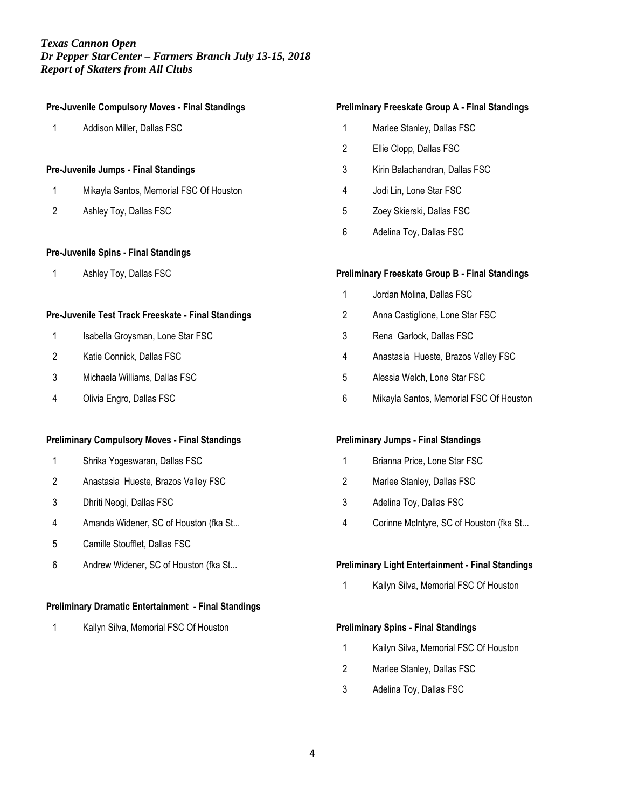# **Pre-Juvenile Compulsory Moves - Final Standings** Addison Miller, Dallas FSC **Pre-Juvenile Jumps - Final Standings**

- Mikayla Santos, Memorial FSC Of Houston
- Ashley Toy, Dallas FSC

# **Pre-Juvenile Spins - Final Standings**

Ashley Toy, Dallas FSC

## **Pre-Juvenile Test Track Freeskate - Final Standings**

- 1 Isabella Groysman, Lone Star FSC
- Katie Connick, Dallas FSC
- Michaela Williams, Dallas FSC
- Olivia Engro, Dallas FSC

# **Preliminary Compulsory Moves - Final Standings**

- Shrika Yogeswaran, Dallas FSC
- Anastasia Hueste, Brazos Valley FSC
- Dhriti Neogi, Dallas FSC
- Amanda Widener, SC of Houston (fka St...
- Camille Stoufflet, Dallas FSC
- Andrew Widener, SC of Houston (fka St...

# **Preliminary Dramatic Entertainment - Final Standings**

Kailyn Silva, Memorial FSC Of Houston

#### **Preliminary Freeskate Group A - Final Standings**

- Marlee Stanley, Dallas FSC
- Ellie Clopp, Dallas FSC
- Kirin Balachandran, Dallas FSC
- Jodi Lin, Lone Star FSC
- Zoey Skierski, Dallas FSC
- Adelina Toy, Dallas FSC

## **Preliminary Freeskate Group B - Final Standings**

- Jordan Molina, Dallas FSC
- Anna Castiglione, Lone Star FSC
- Rena Garlock, Dallas FSC
- Anastasia Hueste, Brazos Valley FSC
- Alessia Welch, Lone Star FSC
- Mikayla Santos, Memorial FSC Of Houston

#### **Preliminary Jumps - Final Standings**

- 1 Brianna Price, Lone Star FSC
- Marlee Stanley, Dallas FSC
- Adelina Toy, Dallas FSC
- Corinne McIntyre, SC of Houston (fka St...

#### **Preliminary Light Entertainment - Final Standings**

Kailyn Silva, Memorial FSC Of Houston

#### **Preliminary Spins - Final Standings**

- Kailyn Silva, Memorial FSC Of Houston
- Marlee Stanley, Dallas FSC
- Adelina Toy, Dallas FSC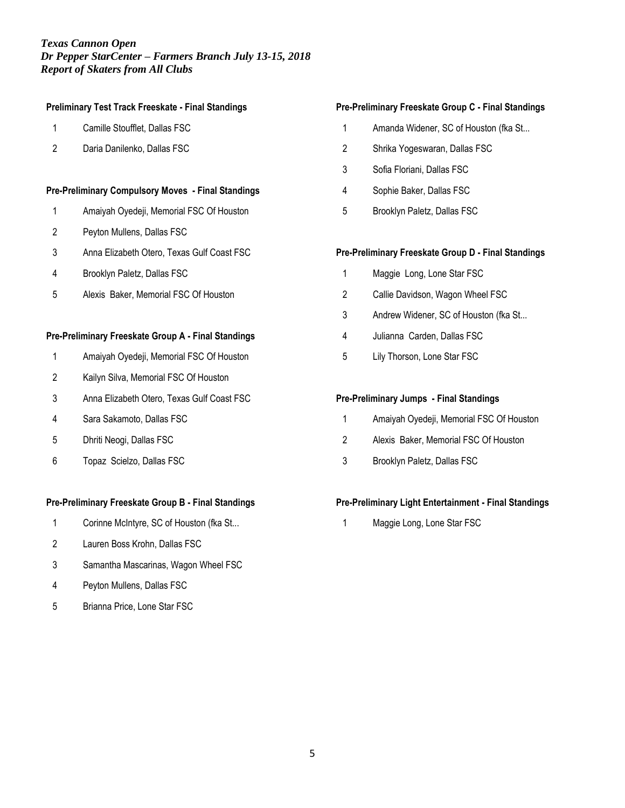#### **Preliminary Test Track Freeskate - Final Standings**

- Camille Stoufflet, Dallas FSC
- Daria Danilenko, Dallas FSC

#### **Pre-Preliminary Compulsory Moves - Final Standings**

- Amaiyah Oyedeji, Memorial FSC Of Houston
- Peyton Mullens, Dallas FSC
- Anna Elizabeth Otero, Texas Gulf Coast FSC
- Brooklyn Paletz, Dallas FSC
- Alexis Baker, Memorial FSC Of Houston

#### **Pre-Preliminary Freeskate Group A - Final Standings**

- Amaiyah Oyedeji, Memorial FSC Of Houston
- Kailyn Silva, Memorial FSC Of Houston
- Anna Elizabeth Otero, Texas Gulf Coast FSC
- Sara Sakamoto, Dallas FSC
- Dhriti Neogi, Dallas FSC
- Topaz Scielzo, Dallas FSC

#### **Pre-Preliminary Freeskate Group B - Final Standings**

- Corinne McIntyre, SC of Houston (fka St...
- Lauren Boss Krohn, Dallas FSC
- Samantha Mascarinas, Wagon Wheel FSC
- Peyton Mullens, Dallas FSC
- Brianna Price, Lone Star FSC

## **Pre-Preliminary Freeskate Group C - Final Standings**

- Amanda Widener, SC of Houston (fka St...
- Shrika Yogeswaran, Dallas FSC
- Sofia Floriani, Dallas FSC
- Sophie Baker, Dallas FSC
- Brooklyn Paletz, Dallas FSC

#### **Pre-Preliminary Freeskate Group D - Final Standings**

- Maggie Long, Lone Star FSC
- Callie Davidson, Wagon Wheel FSC
- Andrew Widener, SC of Houston (fka St...
- Julianna Carden, Dallas FSC
- Lily Thorson, Lone Star FSC

## **Pre-Preliminary Jumps - Final Standings**

- Amaiyah Oyedeji, Memorial FSC Of Houston
- Alexis Baker, Memorial FSC Of Houston
- Brooklyn Paletz, Dallas FSC

# **Pre-Preliminary Light Entertainment - Final Standings**

Maggie Long, Lone Star FSC